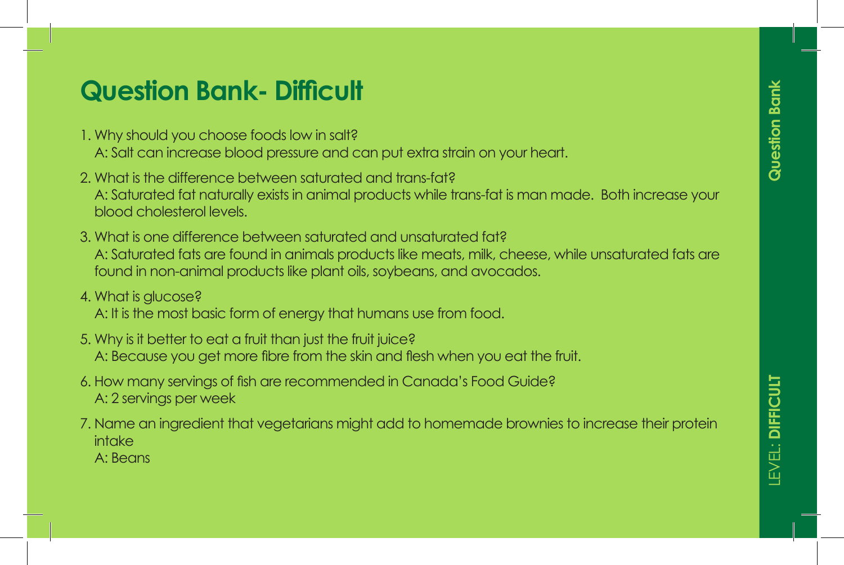- 1. Why should you choose foods low in salt?
- A: Salt can increase blood pressure and can put extra strain on your heart. • Lorem ipsum dolor sit amet, consectetuer adipiscing
- 2. What is the difference between saturated and trans-fat? A: Saturated fat naturally exists in animal products while trans-fat is man made. Both increase your blood cholesterol levels.
- 3. What is one difference between saturated and unsaturated fat? A: Saturated fats are found in animals products like meats, milk, cheese, while unsaturated fats are found in non-animal products like plant oils, soybeans, and avocados.

#### $\overline{3.1.0}$  Lorem insulation sit amethy  $\overline{3.0}$ 4. VVNCH is GIUCOSE sit amethydrophydd amethyddiaeth adipiscing adipiscing adipiscing adipiscing adipiscing ad<br>I amethyddiaeth adipiscing adipiscing adipiscing adipiscing adipiscing adipiscing adipiscing adipiscing adipis 4. What is glucose?

- A: It is the most basic form of energy that humans use from food.
- 5. Why is it better to eat a fruit than just the fruit juice? A: Because you get more fibre from the skin and flesh when you eat the fruit.
- **MODIFIERS:** 6. How many servings of fish are recommended in Canada's Food Guide?<br>A Canada is recommended in Canada's Food Guide? A: 2 servings per week
- 7. Name an ingredient that vegetarians might add to homemade brownies to increase their protein intake A: Beans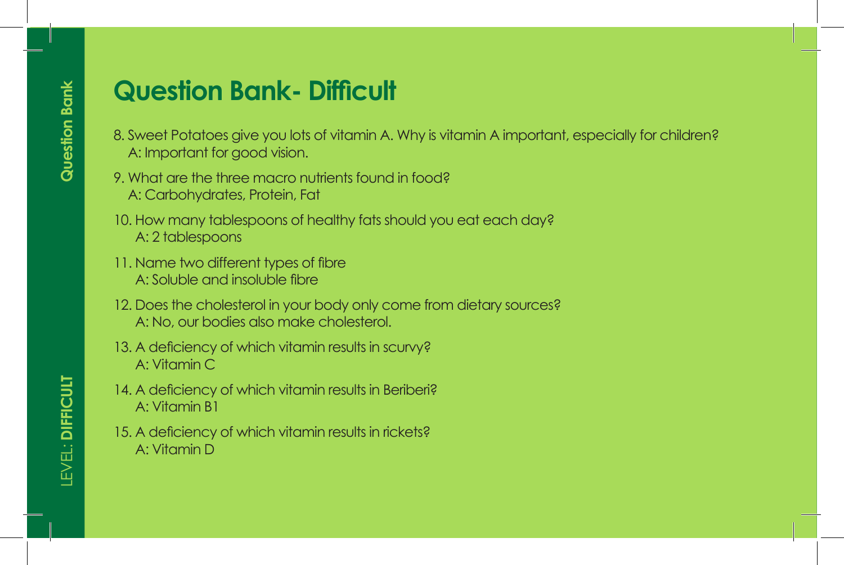- 8. Sweet Potatoes give you lots of vitamin A. Why is vitamin A important, especially for children? ersum dolor sit and the sit and the sit and the sit and the sit and the sit and the sit and the sit and the sit ameter  $\sim$
- $\mathbf{P} = \mathbf{P} \times \mathbf{P}$  and consected and consected and consected and consected and consected adipiscing adipiscing adipiscing and  $\mathbf{P} = \mathbf{P} \times \mathbf{P}$  $\blacksquare$  9. What are the three macro nutrients found in food? • Lorem dolor sit and an extendion and an extendion of the consection  $\mathcal{L}$
- **GAME:**  10. How many tablespoons of healthy fats should you eat each day? A: 2 tablespoons
- 1. Lorem ipsum dolor sit amet, consectetuer adipiscing 2. Lorem in dolor sit and the site and the site and the site and the site and the site and the site and the site and the site and the site and the site and the site and the site and the site and the site and the site and t **3. Lorem insuluble and insoluble fibre** and insoluble fibre
- 12. Does the cholesterol in your body only come from dietary sources? **Factor Studies also make cholesterol.**<br> **A: No, our bodies also make cholesterol.**
- 6. Lorem ipsum dolor sit amet, consectetuer adipiscing **Modern Property** 13. A deficiency of which vitamin results in scurvy? A: Vitamin C
- 14. A deficiency of which vitamin results in Beriberi? A: Vitamin B1
	- 15. A deficiency of which vitamin results in rickets? A: Vitamin D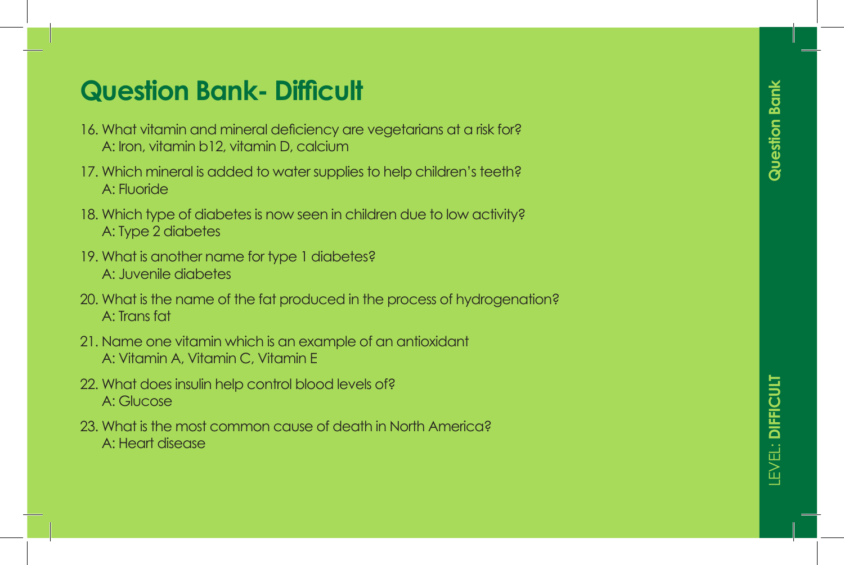# Question Bank

- 16. What vitamin and mineral deficiency are vegetarians at a risk for? A: Iron, vitamin b12, vitamin D, calcium
- 17. Which mineral is added to water supplies to help children's teeth? A: Fluoride
- 18. Which type of diabetes is now seen in children due to low activity? A: Type 2 diabetes
- 19. What is another name for type 1 diabetes? A: Juvenile diabetes
- 20. What is the name of the fat produced in the process of hydrogenation? A: Trans fat
- 21. Name one vitamin which is an example of an antioxidant A: Vitamin A, Vitamin C, Vitamin E
- 22. What does insulin help control blood levels of? A: Glucose
- 23. What is the most common cause of death in North America? A: Heart disease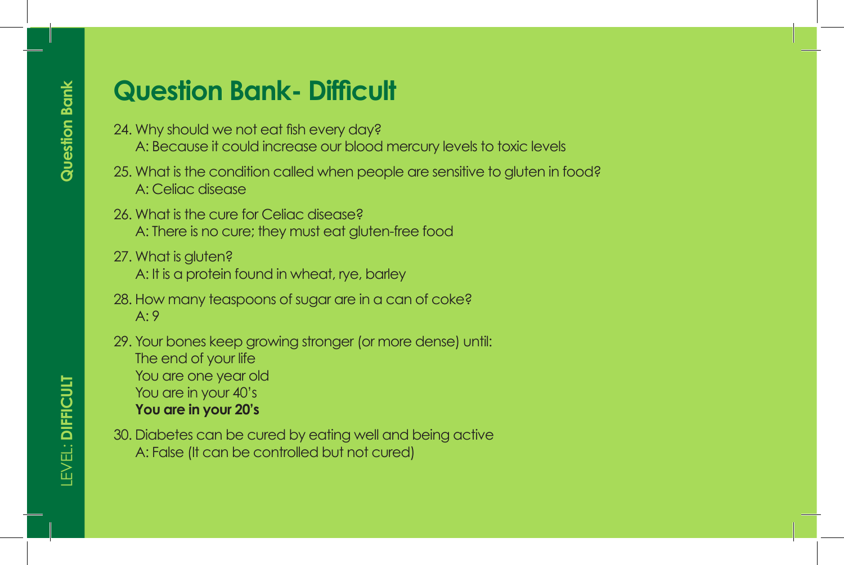- 24. Why should we not eat fish every day?
	- A: Because it could increase our blood mercury levels to toxic levels
- 25. What is the condition called when people are sensitive to gluten in food? A: Celiac disease
- 26. What is the cure for Celiac disease? A: There is no cure; they must eat gluten-free food
- 27. What is gluten? A: It is a protein found in wheat, rye, barley
- 28. How many teaspoons of sugar are in a can of coke? A: 9
- 29. Your bones keep growing stronger (or more dense) until: The end of your life You are one year old You are in your 40's **You are in your 20's**
- 30. Diabetes can be cured by eating well and being active A: False (It can be controlled but not cured)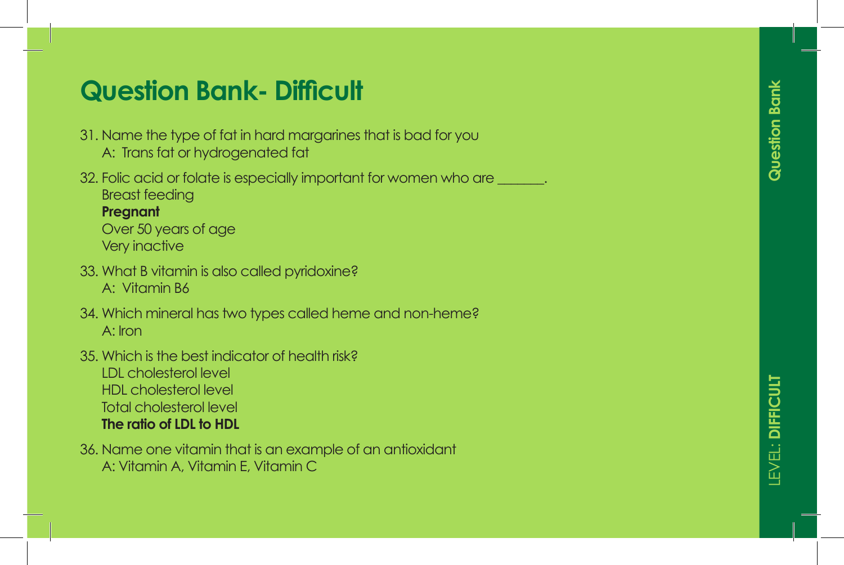- 31. Name the type of fat in hard margarines that is bad for you
	- A: Trans fat or hydrogenated fat
- 32. Folic acid or folate is especially important for women who are  $\qquad \qquad$ . Breast feeding

### **Pregnant**

Over 50 years of age Very inactive

- 33. What B vitamin is also called pyridoxine? A: Vitamin B6
- 34. Which mineral has two types called heme and non-heme? A: Iron
- 35. Which is the best indicator of health risk?

LDL cholesterol level HDL cholesterol level Total cholesterol level **The ratio of LDL to HDL**

36. Name one vitamin that is an example of an antioxidant A: Vitamin A, Vitamin E, Vitamin C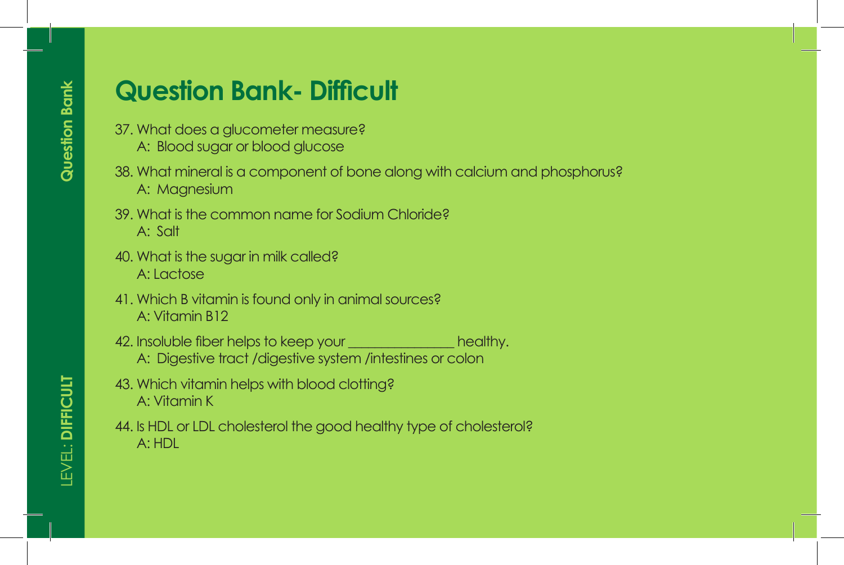- 37. What does a glucometer measure?
	- A: Blood sugar or blood glucose
- 38. What mineral is a component of bone along with calcium and phosphorus? A: Magnesium
- 39. What is the common name for Sodium Chloride? A: Salt
- 40. What is the sugar in milk called? A: Lactose
- 41. Which B vitamin is found only in animal sources? A: Vitamin B12
- 42. Insoluble fiber helps to keep your **the contract of the set of the set of the set of the set of the set of th** A: Digestive tract /digestive system /intestines or colon
- 43. Which vitamin helps with blood clotting? A: Vitamin K
- 44. Is HDL or LDL cholesterol the good healthy type of cholesterol? A: HDL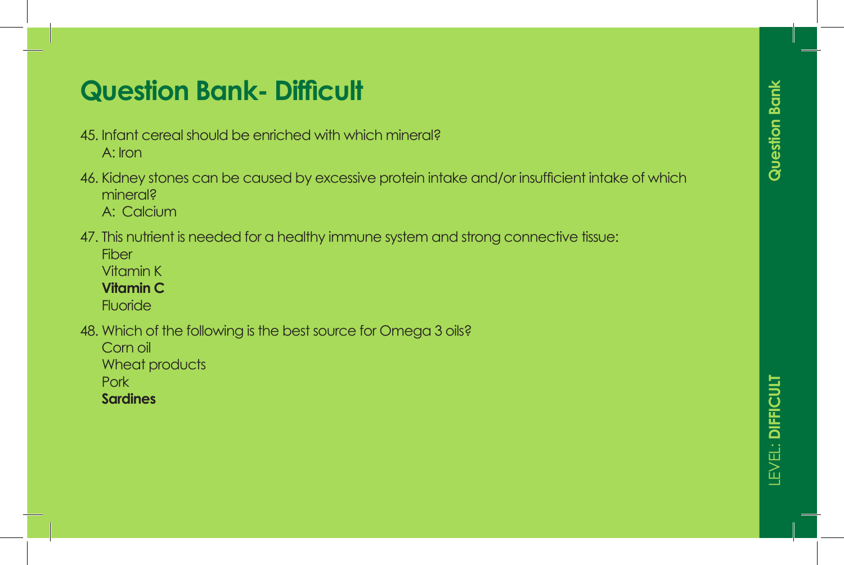- 45. Infant cereal should be enriched with which mineral? A: Iron
- 46. Kidney stones can be caused by excessive protein intake and/or insufficient intake of which mineral? A: Calcium
- 47. This nutrient is needed for a healthy immune system and strong connective tissue:

**Fiber** Vitamin K

**Vitamin C**

**Fluoride** 

48. Which of the following is the best source for Omega 3 oils?

Corn oil

Wheat products

**Pork** 

**Sardines**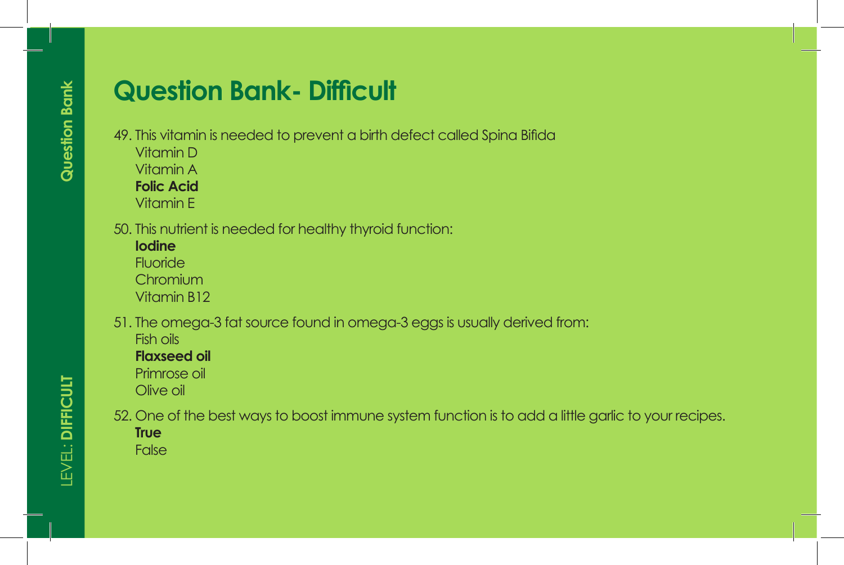- 49. This vitamin is needed to prevent a birth defect called Spina Bifida
	- Vitamin D
	- Vitamin A

**Folic Acid**

Vitamin E

- 50. This nutrient is needed for healthy thyroid function:
	- **Iodine** Fluoride **Chromium**

Vitamin B12

51. The omega-3 fat source found in omega-3 eggs is usually derived from: Fish oils

**Flaxseed oil**

Primrose oil

Olive oil

- 52. One of the best ways to boost immune system function is to add a little garlic to your recipes.
	- **True**

False